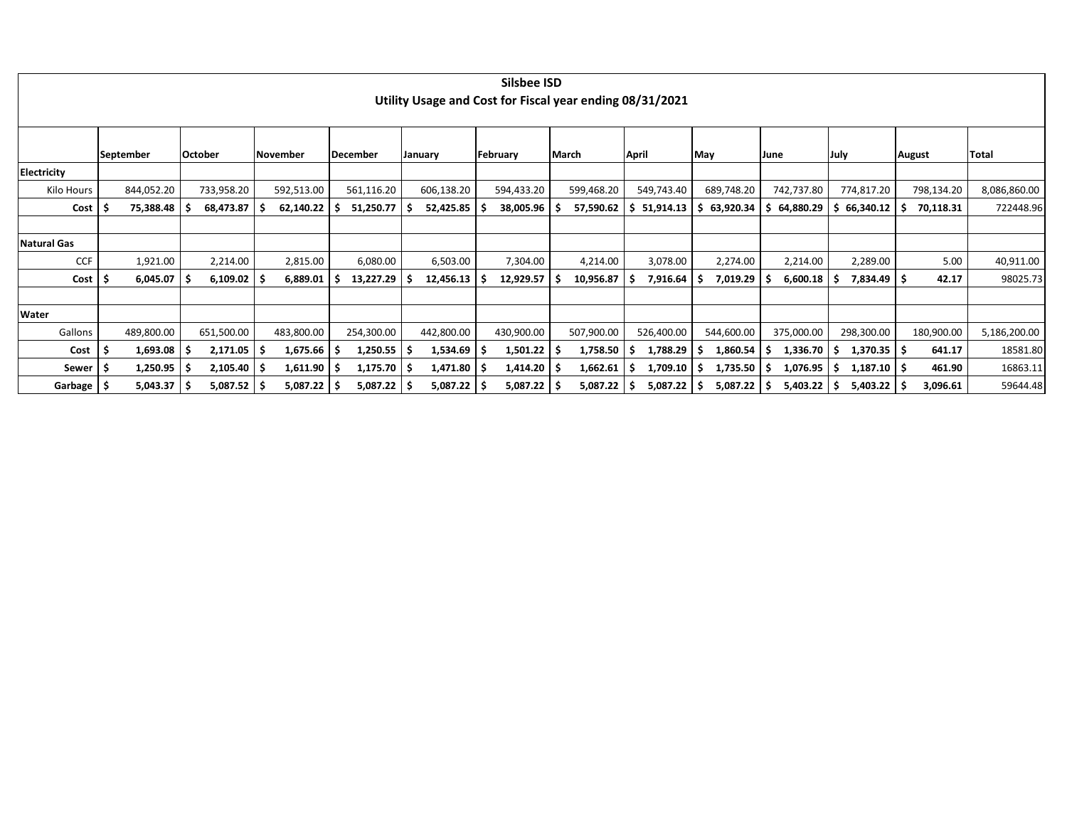|                    |                          |     |               |            |    |                 |            | Silsbee ISD<br>Utility Usage and Cost for Fiscal year ending 08/31/2021 |     |            |    |            |                 |   |            |      |                          |        |            |              |
|--------------------|--------------------------|-----|---------------|------------|----|-----------------|------------|-------------------------------------------------------------------------|-----|------------|----|------------|-----------------|---|------------|------|--------------------------|--------|------------|--------------|
|                    |                          |     |               |            |    |                 |            |                                                                         |     |            |    |            |                 |   |            |      |                          |        |            |              |
|                    | September                |     | October       | November   |    | <b>December</b> | January    | February                                                                |     | March      |    | April      | May             |   | June       | July |                          | August |            | Total        |
| <b>Electricity</b> |                          |     |               |            |    |                 |            |                                                                         |     |            |    |            |                 |   |            |      |                          |        |            |              |
| Kilo Hours         | 844,052.20               |     | 733,958.20    | 592,513.00 |    | 561,116.20      | 606,138.20 | 594,433.20                                                              |     | 599,468.20 |    | 549,743.40 | 689,748.20      |   | 742,737.80 |      | 774,817.20               |        | 798,134.20 | 8,086,860.00 |
| Cost               | 75,388.48                |     | 68,473.87     | 62,140.22  |    | 51,250.77       | 52,425.85  | 38,005.96                                                               |     | 57,590.62  | -S | 51,914.13  | 63,920.34<br>-S | S | 64,880.29  |      | 66,340.12                |        | 70,118.31  | 722448.96    |
|                    |                          |     |               |            |    |                 |            |                                                                         |     |            |    |            |                 |   |            |      |                          |        |            |              |
| <b>Natural Gas</b> |                          |     |               |            |    |                 |            |                                                                         |     |            |    |            |                 |   |            |      |                          |        |            |              |
| <b>CCF</b>         | 1,921.00                 |     | 2,214.00      | 2,815.00   |    | 6,080.00        | 6,503.00   | 7,304.00                                                                |     | 4,214.00   |    | 3,078.00   | 2,274.00        |   | 2,214.00   |      | 2,289.00                 |        | 5.00       | 40,911.00    |
| $Cost$   \$        | 6,045.07                 | ΊS  | 6,109.02      | 6,889.01   |    | 13,227.29       | 12,456.13  | 12,929.57                                                               | S   | 10,956.87  | -S | 7,916.64   | 7,019.29<br>S   |   | 6,600.18   |      | $7,834.49$ $\frac{1}{5}$ |        | 42.17      | 98025.73     |
|                    |                          |     |               |            |    |                 |            |                                                                         |     |            |    |            |                 |   |            |      |                          |        |            |              |
| Water              |                          |     |               |            |    |                 |            |                                                                         |     |            |    |            |                 |   |            |      |                          |        |            |              |
| Gallons            | 489,800.00               |     | 651,500.00    | 483,800.00 |    | 254,300.00      | 442,800.00 | 430,900.00                                                              |     | 507,900.00 |    | 526,400.00 | 544,600.00      |   | 375,000.00 |      | 298,300.00               |        | 180,900.00 | 5,186,200.00 |
| Cost               | 1,693.08                 | l S | 2,171.05      | 1,675.66   | ΙS | 1,250.55        | 1,534.69   | 1,501.22                                                                | . 5 | 1,758.50   | -S | 1,788.29   | 1,860.54        |   | 1,336.70   |      | $1,370.35$ \$            |        | 641.17     | 18581.80     |
| Sewer   \$         | $1,250.95$   \$          |     | 2,105.40      | 1,611.90   | ΙS | $1,175.70$   \$ | 1,471.80   | 1,414.20                                                                |     | 1,662.61   |    | 1,709.10   | 1,735.50        |   | 1,076.95   |      | $1,187.10$   \$          |        | 461.90     | 16863.11     |
| Garbage   \$       | $5,043.37$ $\frac{1}{5}$ |     | $5,087.52$ \$ | 5,087.22   |    | $5,087.22$   \$ | 5,087.22   | 5,087.22                                                                |     | 5,087.22   |    | 5,087.22   | 5,087.22<br>.s  |   | 5,403.22   |      | $5,403.22$   \$          |        | 3,096.61   | 59644.48     |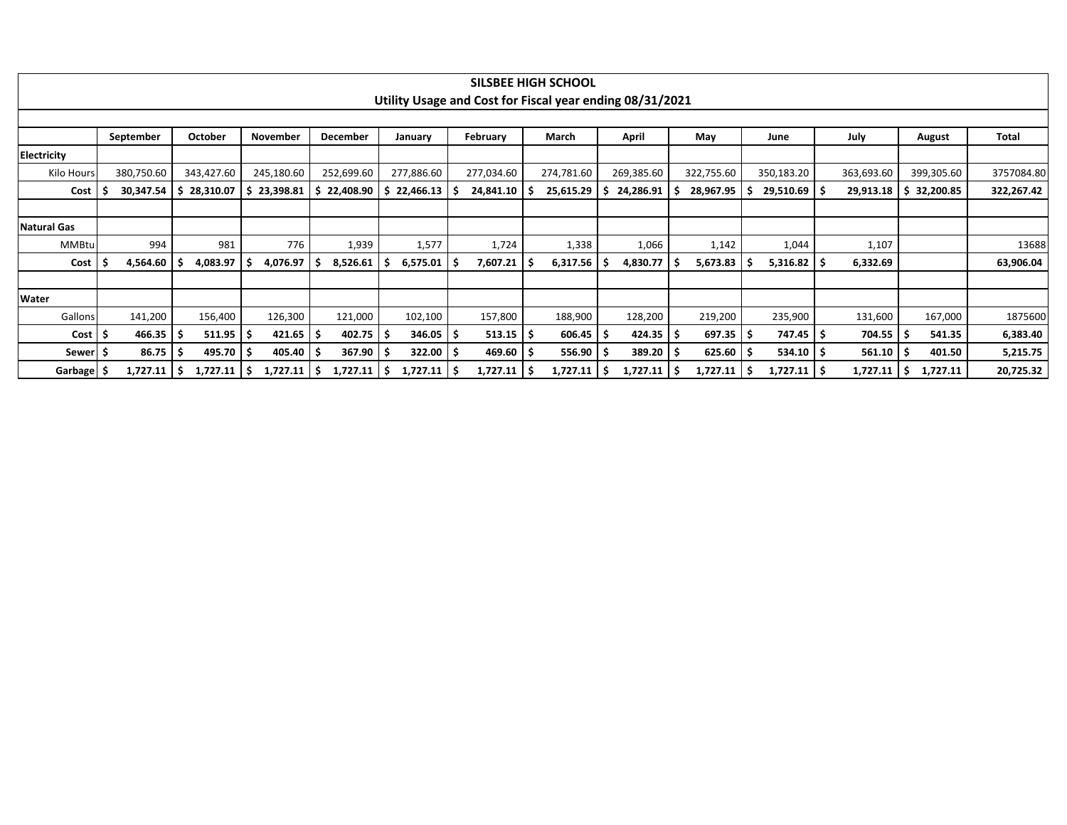|                    |            |                |        |             |    |             |     |            |                        | <b>SILSBEE HIGH SCHOOL</b>                               |    |            |            |    |                 |            |   |             |              |
|--------------------|------------|----------------|--------|-------------|----|-------------|-----|------------|------------------------|----------------------------------------------------------|----|------------|------------|----|-----------------|------------|---|-------------|--------------|
|                    |            |                |        |             |    |             |     |            |                        | Utility Usage and Cost for Fiscal year ending 08/31/2021 |    |            |            |    |                 |            |   |             |              |
|                    |            |                |        |             |    |             |     |            |                        |                                                          |    |            |            |    |                 |            |   |             |              |
|                    | September  | October        |        | November    |    | December    |     | January    | February               | March                                                    |    | April      | May        |    | June            | July       |   | August      | <b>Total</b> |
| <b>Electricity</b> |            |                |        |             |    |             |     |            |                        |                                                          |    |            |            |    |                 |            |   |             |              |
| Kilo Hours         | 380,750.60 | 343,427.60     |        | 245,180.60  |    | 252,699.60  |     | 277,886.60 | 277,034.60             | 274,781.60                                               |    | 269,385.60 | 322,755.60 |    | 350,183.20      | 363,693.60 |   | 399,305.60  | 3757084.80   |
| Cost               | 30,347.54  | 28,310.07      |        | \$23,398.81 |    | \$22,408.90 |     | 22,466.13  | 24,841.10              | 25,615.29                                                | -S | 24,286.91  | 28,967.95  | 5  | $29,510.69$ \$  | 29,913.18  |   | \$32,200.85 | 322,267.42   |
|                    |            |                |        |             |    |             |     |            |                        |                                                          |    |            |            |    |                 |            |   |             |              |
| <b>Natural Gas</b> |            |                |        |             |    |             |     |            |                        |                                                          |    |            |            |    |                 |            |   |             |              |
| MMBtul             | 994        |                | 981    | 776         |    | 1,939       |     | 1,577      | 1,724                  | 1,338                                                    |    | 1,066      | 1,142      |    | 1,044           | 1,107      |   |             | 13688        |
| Cost               | 4,564.60   | 4,083.97       |        | 4,076.97    |    | 8,526.61    |     | 6,575.01   | 7,607.21               | 6,317.56                                                 | -5 | 4,830.77   | 5,673.83   |    | $5,316.82$   \$ | 6,332.69   |   |             | 63,906.04    |
|                    |            |                |        |             |    |             |     |            |                        |                                                          |    |            |            |    |                 |            |   |             |              |
| Water              |            |                |        |             |    |             |     |            |                        |                                                          |    |            |            |    |                 |            |   |             |              |
| Gallons            | 141,200    | 156,400        |        | 126,300     |    | 121,000     |     | 102,100    | 157,800                | 188,900                                                  |    | 128,200    | 219,200    |    | 235,900         | 131,600    |   | 167,000     | 1875600      |
| Cost <sub>1</sub>  | 466.35     |                | 511.95 | 421.65      |    | 402.75      |     | 346.05     | $513.15$ $\frac{1}{5}$ | 606.45                                                   | -5 | 424.35     | 697.35     | -S | 747.45 \$       | 704.55     | S | 541.35      | 6,383.40     |
| Sewer  \$          | 86.75      |                | 495.70 | 405.40      |    | 367.90      |     | 322.00     | 469.60                 | 556.90                                                   | -5 | 389.20     | 625.60     | -S | $534.10$ \$     | 561.10     | S | 401.50      | 5,215.75     |
| Garbage S          | 1,727.11   | 1,727.11<br>-S |        | 1,727.11    | -S | 1,727.11    | - S | 1,727.11   | 1,727.11               | 1,727.11                                                 | -S | 1,727.11   | 1,727.11   | -S | $1,727.11$   \$ | 1,727.11   | s | 1,727.11    | 20,725.32    |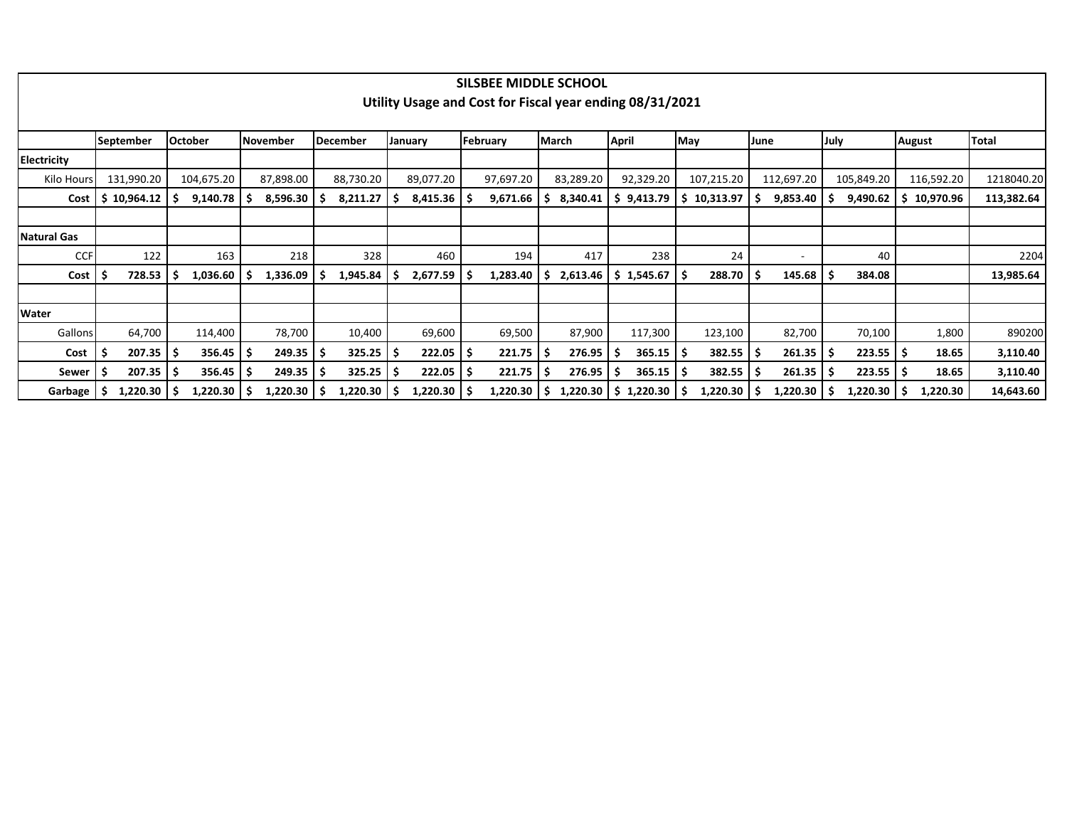|                    |                        |                |           |    |                 |    |           |    | SILSBEE MIDDLE SCHOOL                                    |    |                          |              |            |      |                         |      |                 |      |            |    |               |              |
|--------------------|------------------------|----------------|-----------|----|-----------------|----|-----------|----|----------------------------------------------------------|----|--------------------------|--------------|------------|------|-------------------------|------|-----------------|------|------------|----|---------------|--------------|
|                    |                        |                |           |    |                 |    |           |    | Utility Usage and Cost for Fiscal year ending 08/31/2021 |    |                          |              |            |      |                         |      |                 |      |            |    |               |              |
|                    |                        |                |           |    |                 |    |           |    |                                                          |    |                          |              |            |      |                         |      |                 |      |            |    |               |              |
|                    | <b>September</b>       | <b>October</b> | November  |    | <b>December</b> |    | January   |    | February                                                 |    | <b>March</b>             | <b>April</b> |            | May  |                         | June |                 | July |            |    | <b>August</b> | <b>Total</b> |
| Electricity        |                        |                |           |    |                 |    |           |    |                                                          |    |                          |              |            |      |                         |      |                 |      |            |    |               |              |
| Kilo Hours         | 131,990.20             | 104,675.20     | 87,898.00 |    | 88,730.20       |    | 89,077.20 |    | 97,697.20                                                |    | 83,289.20                |              | 92,329.20  |      | 107,215.20              |      | 112,697.20      |      | 105,849.20 |    | 116,592.20    | 1218040.20   |
| Cost               | \$10,964.12            | 9,140.78       | 8,596.30  |    | 8,211.27        | -S | 8,415.36  |    | 9,671.66                                                 | s  | 8,340.41                 |              | 5 9,413.79 |      | $\frac{1}{2}$ 10,313.97 | -S   | 9,853.40        |      | 9,490.62   |    | \$10,970.96   | 113,382.64   |
|                    |                        |                |           |    |                 |    |           |    |                                                          |    |                          |              |            |      |                         |      |                 |      |            |    |               |              |
| <b>Natural Gas</b> |                        |                |           |    |                 |    |           |    |                                                          |    |                          |              |            |      |                         |      |                 |      |            |    |               |              |
| <b>CCF</b>         | 122                    | 163            | 218       |    | 328             |    | 460       |    | 194                                                      |    | 417                      |              | 238        |      | 24                      |      | ٠               |      | 40         |    |               | 2204         |
| Cost               | 728.53                 | 1,036.60       | 1,336.09  | s  | 1,945.84        |    | 2,677.59  |    | 1,283.40                                                 |    | 2,613.46                 |              | \$1,545.67 | l \$ | 288.70                  | - S  | 145.68          |      | 384.08     |    |               | 13,985.64    |
|                    |                        |                |           |    |                 |    |           |    |                                                          |    |                          |              |            |      |                         |      |                 |      |            |    |               |              |
| Water              |                        |                |           |    |                 |    |           |    |                                                          |    |                          |              |            |      |                         |      |                 |      |            |    |               |              |
| Gallons            | 64,700                 | 114,400        | 78,700    |    | 10,400          |    | 69,600    |    | 69,500                                                   |    | 87,900                   |              | 117,300    |      | 123,100                 |      | 82,700          |      | 70,100     |    | 1,800         | 890200       |
| Cost               | $207.35$ $\frac{1}{5}$ | 356.45         | 249.35    | .S | $325.25$   \$   |    | 222.05    | S  | $221.75$ $\frac{1}{5}$                                   |    | 276.95                   |              | 365.15     | l S  | 382.55                  | -S   | 261.35          | l S  | 223.55     | -S | 18.65         | 3,110.40     |
| Sewer              | 207.35                 | 356.45         | 249.35    |    | 325.25          |    | 222.05    | -S | 221.75                                                   | -S | 276.95                   |              | 365.15     |      | 382.55                  |      | 261.35          |      | 223.55     |    | 18.65         | 3,110.40     |
| Garbage            | $1,220.30$   \$        | 1,220.30       | 1,220.30  |    | 1,220.30        |    | 1,220.30  |    | 1,220.30                                                 | -S | $1,220.30$   \$ 1,220.30 |              |            |      | 1,220.30                |      | $1,220.30$   \$ |      | 1,220.30   |    | 1,220.30      | 14,643.60    |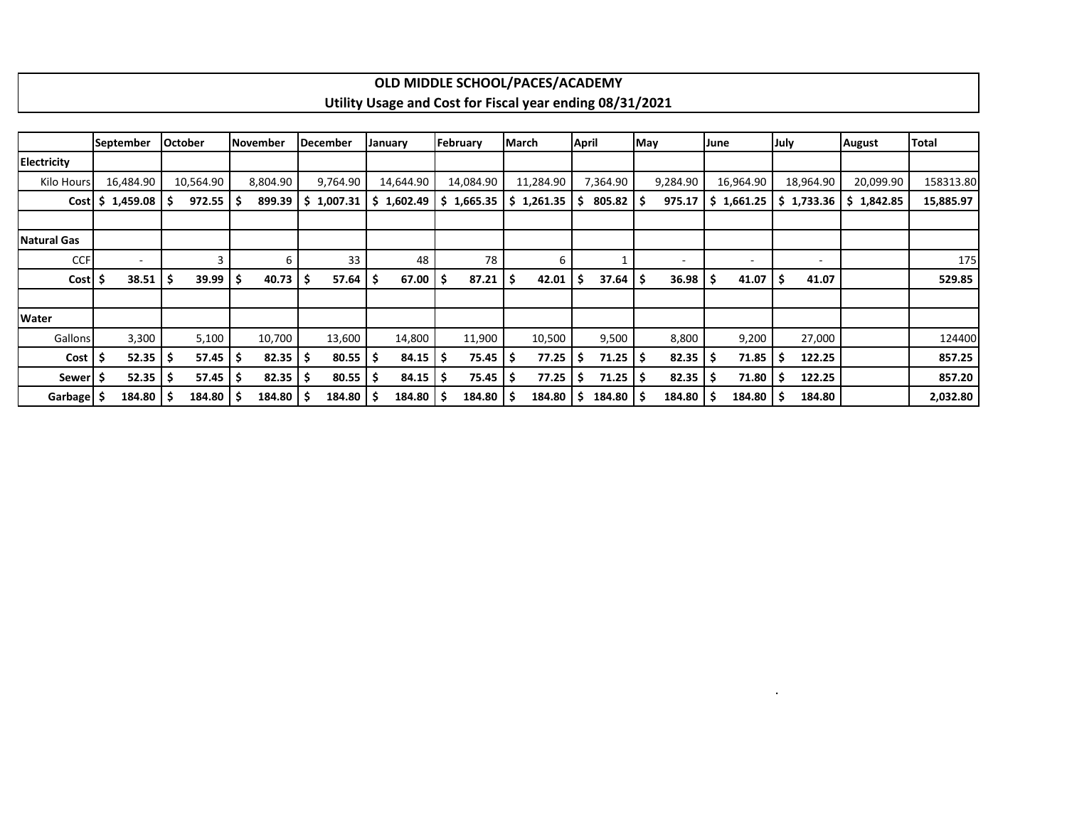|                    |                    |                        |                 |             |                                                          | OLD MIDDLE SCHOOL/PACES/ACADEMY |                |              |                          |                          |                          |               |           |
|--------------------|--------------------|------------------------|-----------------|-------------|----------------------------------------------------------|---------------------------------|----------------|--------------|--------------------------|--------------------------|--------------------------|---------------|-----------|
|                    |                    |                        |                 |             | Utility Usage and Cost for Fiscal year ending 08/31/2021 |                                 |                |              |                          |                          |                          |               |           |
|                    |                    |                        |                 |             |                                                          |                                 |                |              |                          |                          |                          |               |           |
|                    | <b>September</b>   | lOctober               | <b>November</b> | lDecember   | January                                                  | February                        | <b>IMarch</b>  | April        | <b>May</b>               | June                     | July                     | <b>August</b> | Total     |
| <b>Electricity</b> |                    |                        |                 |             |                                                          |                                 |                |              |                          |                          |                          |               |           |
| Kilo Hours         | 16,484.90          | 10,564.90              | 8.804.90        | 9,764.90    | 14,644.90                                                | 14,084.90                       | 11,284.90      | 7,364.90     | 9,284.90                 | 16,964.90                | 18,964.90                | 20,099.90     | 158313.80 |
|                    | $Cost$ \$ 1,459.08 | $972.55$ $\frac{1}{5}$ | 899.39          | 1,007.31    | 1,602.49<br>S.                                           | \$1,665.35                      | 1,261.35<br>S. | 805.82 \$    | 975.17                   | 1,661.25                 | $5$ 1,733.36             | \$1,842.85    | 15,885.97 |
|                    |                    |                        |                 |             |                                                          |                                 |                |              |                          |                          |                          |               |           |
| Natural Gas        |                    |                        |                 |             |                                                          |                                 |                |              |                          |                          |                          |               |           |
| <b>CCF</b>         | $\sim$             |                        | ĥ               | 33          | 48                                                       | 78                              | 6              |              | $\overline{\phantom{a}}$ | $\overline{\phantom{a}}$ | $\overline{\phantom{0}}$ |               | 175       |
| Cost               | 38.51              | 39.99                  | 40.73           | 57.64<br>-Ś | 67.00                                                    | 87.21                           | 42.01          | $37.64$   \$ | 36.98                    | 41.07                    | 41.07                    |               | 529.85    |

Gallons 3,300 | 5,100 | 10,700 | 13,600 | 14,800 | 11,900 | 10,500 | 8,800 | 9,200 | 27,000 | 124400 **Cost \$ 52.35 \$ 57.45 \$ 82.35 \$ 80.55 \$ 84.15 \$ 75.45 \$ 77.25 \$ 71.25 \$ 82.35 \$ 71.85 \$ 122.25 857.25 Sewer \$ 52.35 \$ 57.45 \$ 82.35 \$ 80.55 \$ 84.15 \$ 75.45 \$ 77.25 \$ 71.25 \$ 82.35 \$ 71.80 \$ 122.25 857.20 Garbage \$ 184.80 \$ 184.80 \$ 184.80 \$ 184.80 \$ 184.80 \$ 184.80 \$ 184.80 \$ 184.80 \$ 184.80 \$ 184.80 \$ 184.80 2,032.80**

.

**Water**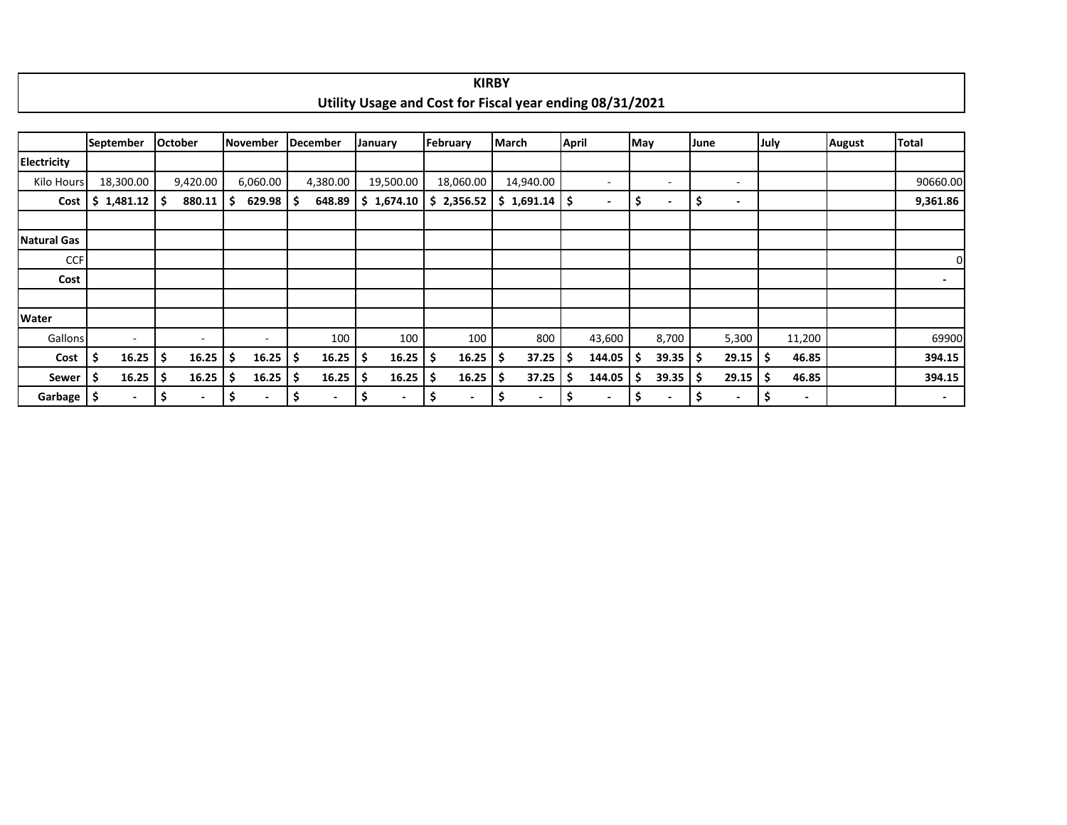|                       |                          |                |                                |                       |                                                          |                                | <b>KIKBY</b>                   |                          |                               |                                |                                |               |                          |
|-----------------------|--------------------------|----------------|--------------------------------|-----------------------|----------------------------------------------------------|--------------------------------|--------------------------------|--------------------------|-------------------------------|--------------------------------|--------------------------------|---------------|--------------------------|
|                       |                          |                |                                |                       | Utility Usage and Cost for Fiscal year ending 08/31/2021 |                                |                                |                          |                               |                                |                                |               |                          |
|                       |                          |                |                                |                       |                                                          |                                |                                |                          |                               |                                |                                |               |                          |
|                       | September                | <b>October</b> | November                       | December              | <b>January</b>                                           | February                       | <b>March</b>                   | <b>April</b>             | May                           | June                           | July                           | <b>August</b> | <b>Total</b>             |
| <b>Electricity</b>    |                          |                |                                |                       |                                                          |                                |                                |                          |                               |                                |                                |               |                          |
| Kilo Hours            | 18,300.00                | 9,420.00       | 6,060.00                       | 4,380.00              | 19,500.00                                                | 18,060.00                      | 14,940.00                      | $\overline{\phantom{a}}$ | ۰                             | $\overline{\phantom{a}}$       |                                |               | 90660.00                 |
| Cost                  | \$1,481.12               | 880.11<br>-S   | 629.98<br>-S                   |                       | $648.89$   \$ 1,674.10                                   | \$2,356.52                     | $$1,691.14$ $$$                | $\overline{\phantom{a}}$ | S<br>$\overline{\phantom{a}}$ | \$<br>$\overline{\phantom{a}}$ |                                |               | 9,361.86                 |
|                       |                          |                |                                |                       |                                                          |                                |                                |                          |                               |                                |                                |               |                          |
| <b>Natural Gas</b>    |                          |                |                                |                       |                                                          |                                |                                |                          |                               |                                |                                |               |                          |
| <b>CCF</b>            |                          |                |                                |                       |                                                          |                                |                                |                          |                               |                                |                                |               | $\overline{0}$           |
| Cost                  |                          |                |                                |                       |                                                          |                                |                                |                          |                               |                                |                                |               | $\blacksquare$           |
|                       |                          |                |                                |                       |                                                          |                                |                                |                          |                               |                                |                                |               |                          |
| Water                 |                          |                |                                |                       |                                                          |                                |                                |                          |                               |                                |                                |               |                          |
| Gallons               | $\overline{\phantom{a}}$ | $\sim$         | $\sim$                         | 100                   | 100                                                      | 100                            | 800                            | 43,600                   | 8,700                         | 5,300                          | 11,200                         |               | 69900                    |
| Cost                  | -\$<br>16.25             | 16.25<br>-S    | 16.25<br>-\$                   | $16.25$   \$<br>S     | 16.25                                                    | 16.25                          | 37.25<br>-\$                   | 144.05                   | $39.35$   \$                  | 29.15                          | \$.<br>46.85                   |               | 394.15                   |
| Sewer                 | \$ ا<br>16.25            | 16.25<br>-S    | 16.25<br>\$.                   | $16.25$   \$          | 16.25                                                    | 16.25                          | 37.25<br>-S                    | 144.05                   | 39.35                         | 29.15<br>-S                    | 46.85<br>.\$                   |               | 394.15                   |
| Garbage $\frac{1}{2}$ | $\blacksquare$           | \$             | \$<br>$\overline{\phantom{a}}$ | \$.<br>$\blacksquare$ | \$<br>$\overline{\phantom{a}}$                           | \$<br>$\overline{\phantom{0}}$ | \$<br>$\overline{\phantom{a}}$ | \$.                      | S<br>$\overline{\phantom{a}}$ | \$<br>$\blacksquare$           | -S<br>$\overline{\phantom{a}}$ |               | $\overline{\phantom{a}}$ |

| <b>KIRBY</b>                                             |
|----------------------------------------------------------|
| Utility Usage and Cost for Fiscal year ending 08/31/2021 |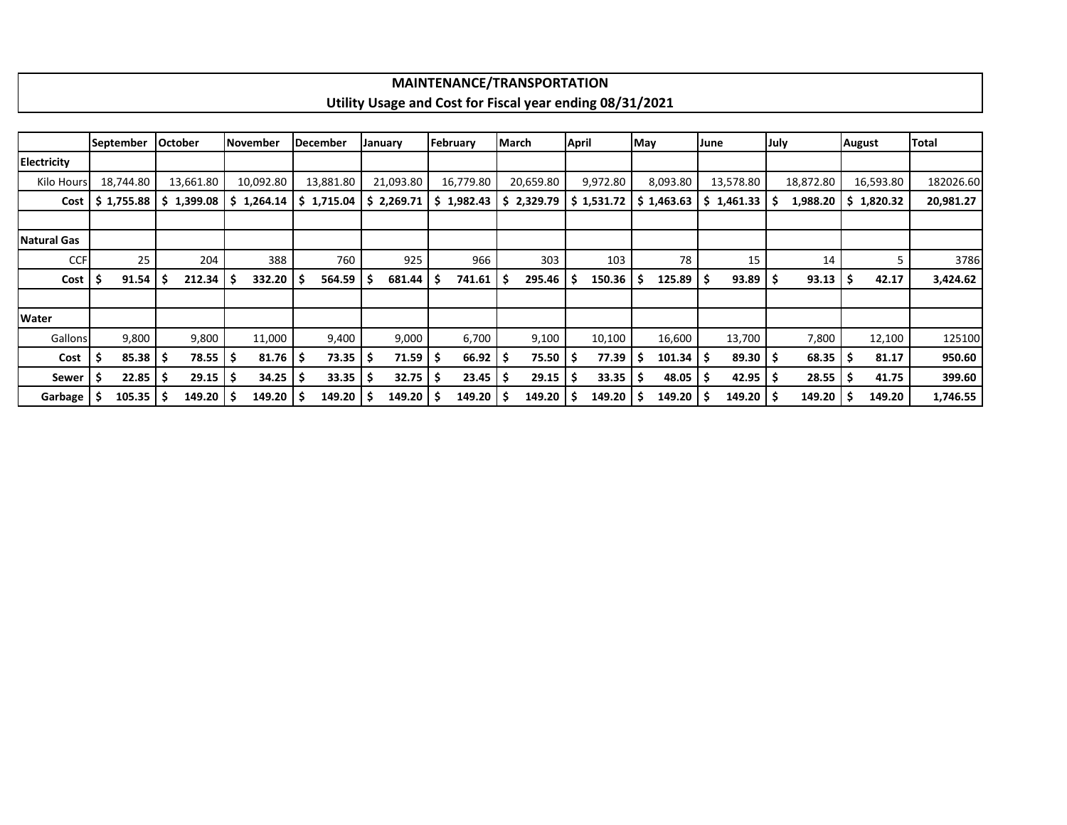## **MAINTENANCE/TRANSPORTATION Utility Usage and Cost for Fiscal year ending 08/31/2021**

|                    |    | September    | <b>October</b> |            | November   |        | <b>December</b> | January             |    | February     | March |            | <b>April</b> |                        | May |            | June |                        | July |           | <b>August</b> |            | <b>Total</b> |
|--------------------|----|--------------|----------------|------------|------------|--------|-----------------|---------------------|----|--------------|-------|------------|--------------|------------------------|-----|------------|------|------------------------|------|-----------|---------------|------------|--------------|
| Electricity        |    |              |                |            |            |        |                 |                     |    |              |       |            |              |                        |     |            |      |                        |      |           |               |            |              |
| Kilo Hours         |    | 18.744.80    |                | 13,661.80  | 10,092.80  |        | 13,881.80       | 21,093.80           |    | 16,779.80    |       | 20,659.80  |              | 9,972.80               |     | 8,093.80   |      | 13,578.80              |      | 18,872.80 |               | 16,593.80  | 182026.60    |
| Cost               |    | \$1,755.88   |                | \$1,399.08 | \$1,264.14 |        | \$1,715.04      | \$2,269.71          |    | 1,982.43     |       | \$2,329.79 |              | $\frac{1}{2}$ 1,531.72 |     | \$1,463.63 |      | $\frac{1}{2}$ 1,461.33 |      | 1,988.20  |               | \$1,820.32 | 20,981.27    |
|                    |    |              |                |            |            |        |                 |                     |    |              |       |            |              |                        |     |            |      |                        |      |           |               |            |              |
| <b>Natural Gas</b> |    |              |                |            |            |        |                 |                     |    |              |       |            |              |                        |     |            |      |                        |      |           |               |            |              |
| <b>CCF</b>         |    | 25           |                | 204        |            | 388    | 760             | 925                 |    | 966          |       | 303        |              | 103                    |     | 78         |      | 15                     |      | 14        |               |            | 3786         |
| Cost               |    | 91.54        |                | 212.34     | -5         | 332.20 | 564.59          | 681.44<br>-S        | ΙS | 741.61       | - S   | 295.46     |              | 150.36                 | S.  | 125.89     | -\$  | 93.89                  |      | 93.13     |               | 42.17      | 3,424.62     |
|                    |    |              |                |            |            |        |                 |                     |    |              |       |            |              |                        |     |            |      |                        |      |           |               |            |              |
| Water              |    |              |                |            |            |        |                 |                     |    |              |       |            |              |                        |     |            |      |                        |      |           |               |            |              |
| Gallons            |    | 9,800        |                | 9,800      |            | 11,000 | 9,400           | 9,000               |    | 6,700        |       | 9,100      |              | 10,100                 |     | 16,600     |      | 13,700                 |      | 7,800     |               | 12,100     | 125100       |
| Cost               | -S | $85.38$ \$   |                | 78.55      | -S         | 81.76  | 73.35<br>-S     | 71.59 \$<br>-\$     |    | $66.92$   \$ |       | $75.50$ \$ |              | 77.39                  | -S  | 101.34     | -S   | $89.30$ $\frac{5}{5}$  |      | 68.35     | 5             | 81.17      | 950.60       |
| Sewer              |    | $22.85$   \$ |                | 29.15      | -S         | 34.25  | 33.35           | $32.75$   \$<br>-\$ |    | 23.45        |       | 29.15      | - Ś          | 33.35                  |     | 48.05      | -S   | 42.95                  |      | 28.55     |               | 41.75      | 399.60       |
| Garbage            |    | $105.35$ \$  |                | 149.20     |            | 149.20 | 149.20          | $149.20$   \$<br>-S |    | 149.20       |       | 149.20     | -S           | 149.20                 | S.  | 149.20     | -S   | 149.20                 |      | 149.20    |               | 149.20     | 1,746.55     |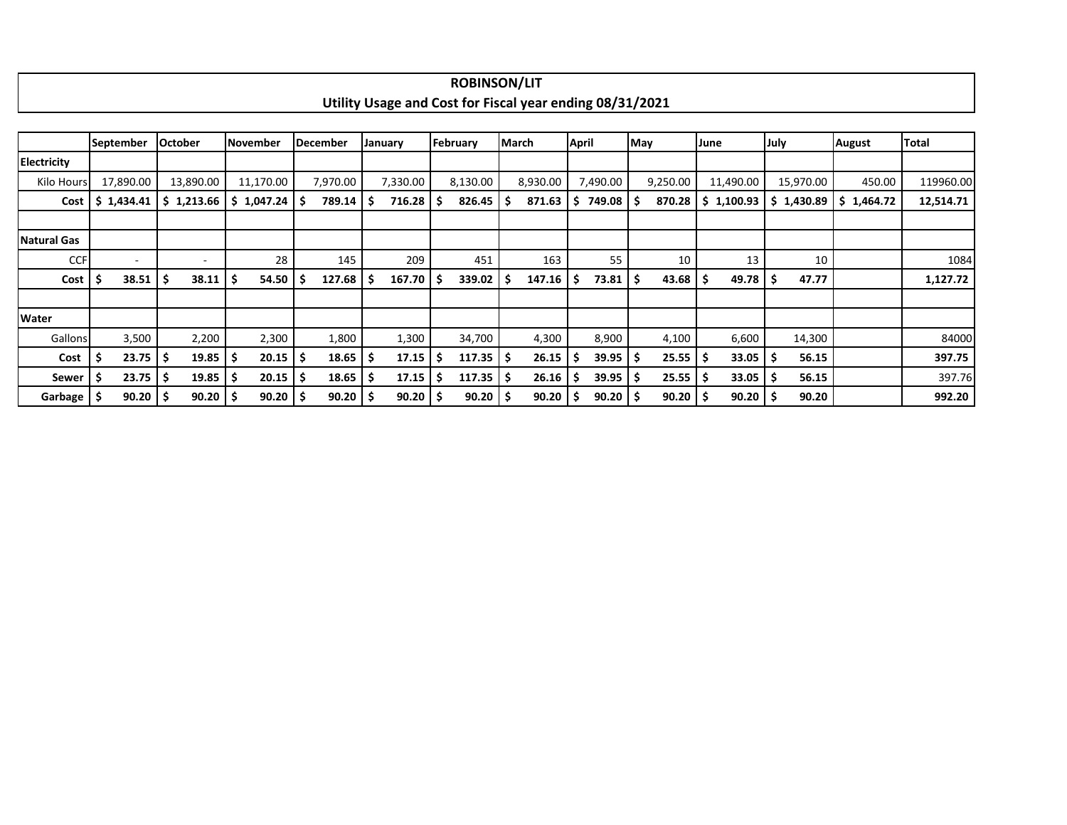|                     |    |                          |                |                          |    |                 |    |              |     |              |     | <b>ROBINSON/LIT</b>    |                                                          |       |              |        |          |      |            |             |            |            |              |
|---------------------|----|--------------------------|----------------|--------------------------|----|-----------------|----|--------------|-----|--------------|-----|------------------------|----------------------------------------------------------|-------|--------------|--------|----------|------|------------|-------------|------------|------------|--------------|
|                     |    |                          |                |                          |    |                 |    |              |     |              |     |                        | Utility Usage and Cost for Fiscal year ending 08/31/2021 |       |              |        |          |      |            |             |            |            |              |
|                     |    |                          |                |                          |    |                 |    |              |     |              |     |                        |                                                          |       |              |        |          |      |            |             |            |            |              |
|                     |    | <b>September</b>         | <b>October</b> |                          |    | lNovember       |    | December     |     | January      |     | February               | <b>March</b>                                             | April |              | May    |          | June |            | <b>July</b> |            | August     | <b>Total</b> |
| <b>Electricity</b>  |    |                          |                |                          |    |                 |    |              |     |              |     |                        |                                                          |       |              |        |          |      |            |             |            |            |              |
| Kilo Hours          |    | 17,890.00                |                | 13,890.00                |    | 11,170.00       |    | 7,970.00     |     | 7,330.00     |     | 8,130.00               | 8,930.00                                                 |       | 7,490.00     |        | 9,250.00 |      | 11,490.00  |             | 15,970.00  | 450.00     | 119960.00    |
|                     |    | $Cost$   \$ 1,434.41     |                | \$1,213.66               |    | $$1,047.24$ $$$ |    | 789.14       | ۱s  | 716.28       | \$. | $826.45$ $\frac{1}{5}$ | 871.63                                                   | S.    | 749.08 \$    |        | 870.28   |      | \$1,100.93 |             | \$1,430.89 | \$1,464.72 | 12,514.71    |
|                     |    |                          |                |                          |    |                 |    |              |     |              |     |                        |                                                          |       |              |        |          |      |            |             |            |            |              |
| <b>Natural Gas</b>  |    |                          |                |                          |    |                 |    |              |     |              |     |                        |                                                          |       |              |        |          |      |            |             |            |            |              |
| <b>CCF</b>          |    | $\overline{\phantom{a}}$ |                | $\overline{\phantom{a}}$ |    | 28              |    | 145          |     | 209          |     | 451                    | 163                                                      |       | 55           |        | 10       |      | 13         |             | 10         |            | 1084         |
| Cost $\vert$ \$     |    | 38.51                    | -\$            | 38.11                    | \$ | 54.50           | ΙS | 127.68       | -S  | 167.70       | S   | $339.02$   \$          | 147.16                                                   | -S    | 73.81        | . I \$ | 43.68    |      | 49.78      | -\$         | 47.77      |            | 1,127.72     |
|                     |    |                          |                |                          |    |                 |    |              |     |              |     |                        |                                                          |       |              |        |          |      |            |             |            |            |              |
| Water               |    |                          |                |                          |    |                 |    |              |     |              |     |                        |                                                          |       |              |        |          |      |            |             |            |            |              |
| Gallons             |    | 3,500                    |                | 2,200                    |    | 2,300           |    | 1,800        |     | 1,300        |     | 34,700                 | 4,300                                                    |       | 8,900        |        | 4,100    |      | 6,600      |             | 14,300     |            | 84000        |
| Cost                | -S | 23.75                    | -\$            | 19.85                    |    | 20.15           | -S | 18.65        | -S  | 17.15        | .s  | $117.35$ $\frac{1}{5}$ | 26.15                                                    | -S    | $39.95$   \$ |        | 25.55    |      | 33.05      | -\$         | 56.15      |            | 397.75       |
| Sewer $\frac{1}{2}$ |    | 23.75                    | -\$            | 19.85                    | \$ | $20.15$   \$    |    | 18.65        | -\$ | 17.15        | \$. | $117.35$ $\frac{1}{5}$ | 26.16                                                    | -S    | $39.95$   \$ |        | 25.55    |      | 33.05      | -S          | 56.15      |            | 397.76       |
| Garbage \$          |    | $90.20$   \$             |                | 90.20                    | Ŝ. | $90.20$   \$    |    | $90.20$   \$ |     | $90.20$   \$ |     | $90.20$   \$           | 90.20                                                    |       | $90.20$   \$ |        | 90.20    |      | 90.20      | -\$         | 90.20      |            | 992.20       |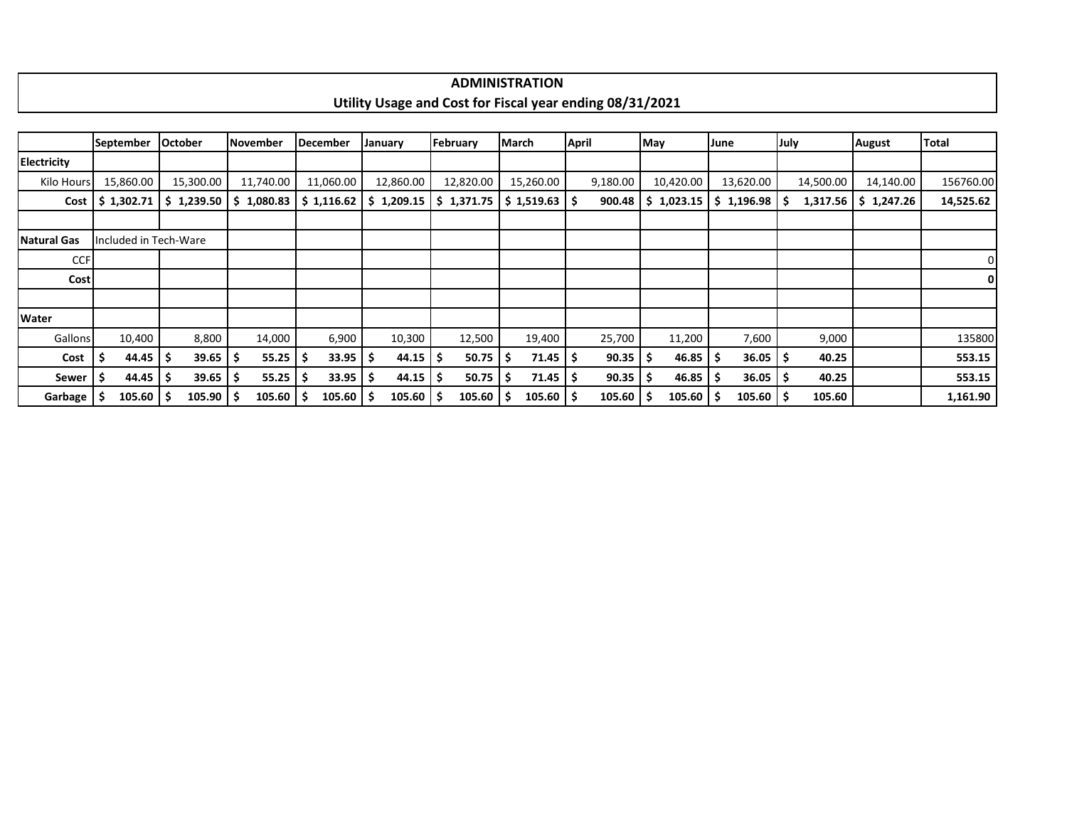| TRATION<br>7'INI!                                                                      |
|----------------------------------------------------------------------------------------|
|                                                                                        |
| <b>Utility</b><br>/31/2021<br>r Fiscal year ending 08/31<br>re and Cost for i<br>Usage |
|                                                                                        |
|                                                                                        |

|                    | <b>September</b>      | <b>October</b>                     | <b>November</b> | December                    | January   | February                                                                           | March               | <b>April</b> | May                | June                      | July        | <b>August</b> | <b>Total</b> |
|--------------------|-----------------------|------------------------------------|-----------------|-----------------------------|-----------|------------------------------------------------------------------------------------|---------------------|--------------|--------------------|---------------------------|-------------|---------------|--------------|
| <b>Electricity</b> |                       |                                    |                 |                             |           |                                                                                    |                     |              |                    |                           |             |               |              |
| Kilo Hours         | 15,860.00             | 15,300.00                          | 11,740.00       | 11,060.00                   | 12,860.00 | 12,820.00                                                                          | 15,260.00           | 9,180.00     | 10,420.00          | 13,620.00                 | 14,500.00   | 14,140.00     | 156760.00    |
|                    |                       | $Cost$   \$ 1,302.71   \$ 1,239.50 |                 | $$1,080.83 \mid $1,116.62$$ |           | $\frac{1}{2}$ 1,209.15 $\frac{1}{2}$ 1,371.75 $\frac{1}{2}$ 1,519.63 $\frac{1}{2}$ |                     | 900.48       | \$1,023.15         | $\frac{1}{2}$ 1,196.98 \$ | 1,317.56    | \$1,247.26    | 14,525.62    |
|                    |                       |                                    |                 |                             |           |                                                                                    |                     |              |                    |                           |             |               |              |
| <b>Natural Gas</b> | Included in Tech-Ware |                                    |                 |                             |           |                                                                                    |                     |              |                    |                           |             |               |              |
| <b>CCF</b>         |                       |                                    |                 |                             |           |                                                                                    |                     |              |                    |                           |             |               | 01           |
| Cost               |                       |                                    |                 |                             |           |                                                                                    |                     |              |                    |                           |             |               | ΟI           |
|                    |                       |                                    |                 |                             |           |                                                                                    |                     |              |                    |                           |             |               |              |
| Water              |                       |                                    |                 |                             |           |                                                                                    |                     |              |                    |                           |             |               |              |
| Gallons            | 10,400                | 8,800                              | 14,000          | 6,900                       | 10,300    | 12,500                                                                             | 19,400              | 25,700       | 11,200             | 7,600                     | 9,000       |               | 135800       |
| Cost               | $44.45$ S             | 39.65                              | 55.25           | 33.95                       | 44.15     | $50.75$ $\frac{1}{5}$<br>-\$                                                       | $71.45$   \$        | 90.35        | $46.85$   \$<br>-S | 36.05                     | 40.25<br>-S |               | 553.15       |
| Sewer              | $44.45$ 5             | 39.65                              | 55.25           | 33.95                       | 44.15     | 50.75<br>-\$                                                                       | $71.45$   \$<br>- 5 | 90.35        | $46.85$   \$<br>-S | $36.05$ $\mid$ \$         | 40.25       |               | 553.15       |
| Garbage            | $105.60$   \$         | 105.90                             | 105.60          | 105.60                      | 105.60    | $105.60$   \$<br>-S                                                                | $105.60$   \$       | 105.60       | $105.60$ \$        | $105.60$   \$             | 105.60      |               | 1,161.90     |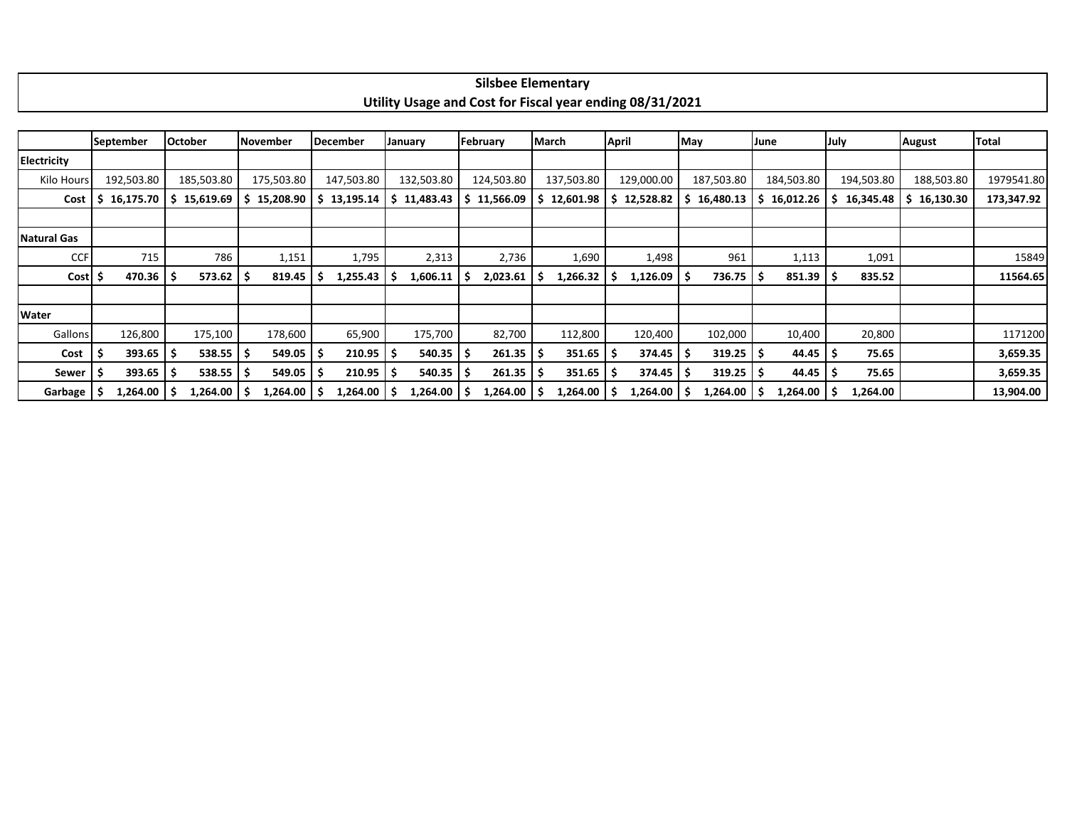|                |                        |                            |                     |                 |                |                | <b>Silsbee Elementary</b>                                |                       |            |                 |                 |                 |              |
|----------------|------------------------|----------------------------|---------------------|-----------------|----------------|----------------|----------------------------------------------------------|-----------------------|------------|-----------------|-----------------|-----------------|--------------|
|                |                        |                            |                     |                 |                |                | Utility Usage and Cost for Fiscal year ending 08/31/2021 |                       |            |                 |                 |                 |              |
|                |                        |                            |                     |                 |                |                |                                                          |                       |            |                 |                 |                 |              |
|                | September              | <b>October</b>             | <b>November</b>     | <b>December</b> | January        | February       | <b>March</b>                                             | <b>April</b>          | May        | June            | July            | <b>August</b>   | <b>Total</b> |
| Electricity    |                        |                            |                     |                 |                |                |                                                          |                       |            |                 |                 |                 |              |
| Kilo Hours     | 192,503.80             | 185,503.80                 | 175,503.80          | 147,503.80      | 132,503.80     | 124,503.80     | 137,503.80                                               | 129,000.00            | 187,503.80 | 184,503.80      | 194,503.80      | 188,503.80      | 1979541.80   |
| Cost           |                        | $16,175.70$   \$ 15,619.69 | 15,208.90<br>S.     | 13,195.14<br>-S | \$11,483.43    | 11,566.09<br>s | 12,601.98<br>S.                                          | 12,528.82<br>S        | 16,480.13  | 16,012.26       | 16,345.48<br>S. | 16,130.30<br>S. | 173,347.92   |
|                |                        |                            |                     |                 |                |                |                                                          |                       |            |                 |                 |                 |              |
| Natural Gas    |                        |                            |                     |                 |                |                |                                                          |                       |            |                 |                 |                 |              |
| <b>CCF</b>     | 715                    | 786                        | 1,151               | 1,795           | 2,313          | 2,736          | 1,690                                                    | 1,498                 | 961        | 1,113           | 1,091           |                 | 15849        |
| Cost   \$      | 470.36                 | 573.62                     | 819.45<br>-S        | 1,255.43<br>S   | 1,606.11<br>-S | 2,023.61       | 1,266.32<br>-S                                           | $1,126.09$   \$<br>-S | 736.75     | 851.39          | 835.52<br>-S    |                 | 11564.65     |
|                |                        |                            |                     |                 |                |                |                                                          |                       |            |                 |                 |                 |              |
| Water          |                        |                            |                     |                 |                |                |                                                          |                       |            |                 |                 |                 |              |
| Gallons        | 126,800                | 175,100                    | 178,600             | 65,900          | 175,700        | 82,700         | 112,800                                                  | 120,400               | 102,000    | 10,400          | 20,800          |                 | 1171200      |
| Cost           | $393.65$ $\frac{1}{5}$ | 538.55                     | 549.05<br>-S        | 210.95          | 540.35<br>۱s   | 261.35<br>- S  | $351.65$ $\frac{1}{5}$                                   | $374.45$ $\mid$ \$    | 319.25     | $44.45$   \$    | 75.65           |                 | 3,659.35     |
| Sewer          | 393.65                 | 538.55                     | 549.05<br>-S        | 210.95          | 540.35         | 261.35<br>-S   | 351.65                                                   | $374.45$ $\mid$ \$    | 319.25     | 44.45           | 75.65<br>l S    |                 | 3,659.35     |
| <b>Garbage</b> | $1,264.00$ \$          | 1,264.00                   | $1,264.00$ \$<br>-S | $1,264.00$ \$   | 1,264.00       | 1,264.00<br>-S | $1,264.00$   \$                                          | $1,264.00$ \$         | 1,264.00   | $1,264.00$   \$ | 1,264.00        |                 | 13,904.00    |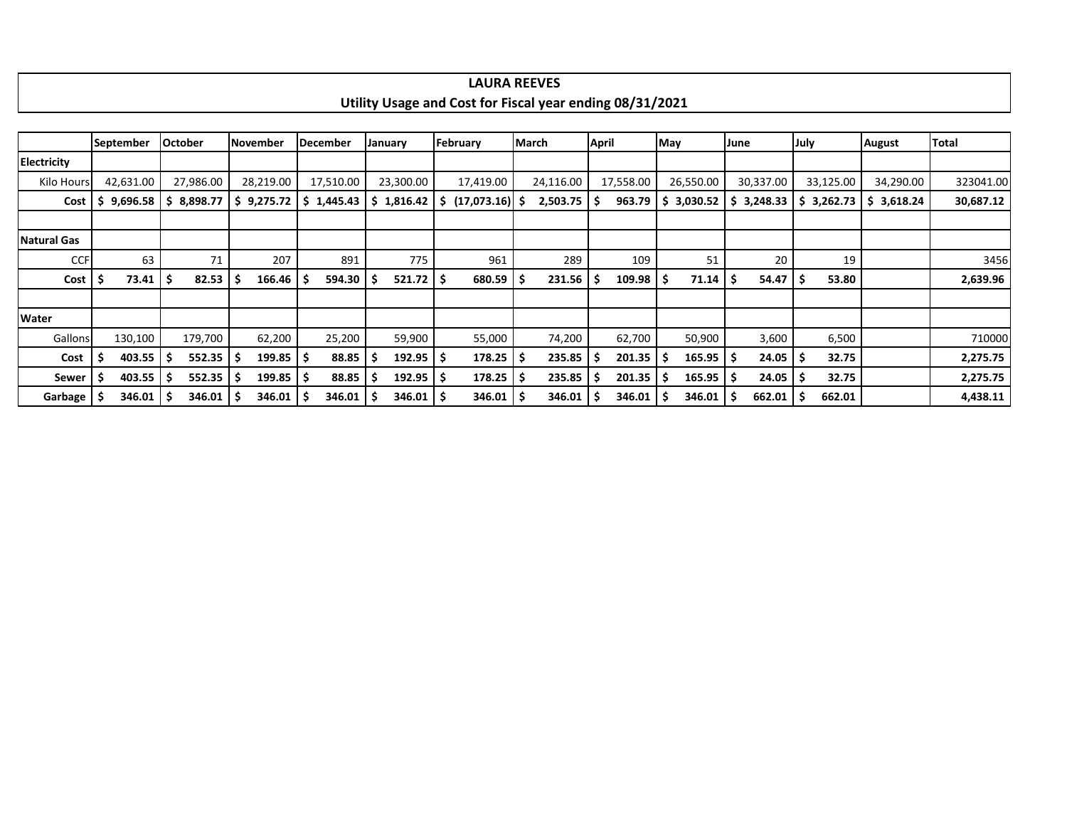|                    |                  |                |                 |                 |               | Utility Usage and Cost for Fiscal year ending 08/31/2021 |           |              |               |            |                |               |              |
|--------------------|------------------|----------------|-----------------|-----------------|---------------|----------------------------------------------------------|-----------|--------------|---------------|------------|----------------|---------------|--------------|
|                    |                  |                |                 |                 |               |                                                          |           |              |               |            |                |               |              |
|                    | <b>September</b> | <b>October</b> | <b>November</b> | <b>December</b> | January       | February                                                 | March     | <b>April</b> | May           | June       | July           | <b>August</b> | <b>Total</b> |
| Electricity        |                  |                |                 |                 |               |                                                          |           |              |               |            |                |               |              |
| Kilo Hours         | 42,631.00        | 27,986.00      | 28,219.00       | 17,510.00       | 23,300.00     | 17,419.00                                                | 24,116.00 | 17,558.00    | 26,550.00     | 30,337.00  | 33,125.00      | 34,290.00     | 323041.00    |
| Cost               | 9,696.58<br>S    | \$8,898.77     | \$9,275.72      | 5 1,445.43      | \$1,816.42    | $\frac{1}{2}$ (17,073.16) \$                             | 2,503.75  | 963.79<br>-S | \$3,030.52    | \$3,248.33 | 3,262.73<br>S. | \$3,618.24    | 30,687.12    |
|                    |                  |                |                 |                 |               |                                                          |           |              |               |            |                |               |              |
| <b>Natural Gas</b> |                  |                |                 |                 |               |                                                          |           |              |               |            |                |               |              |
| <b>CCF</b>         | 63               | 71             | 207             | 891             | 775           | 961                                                      | 289       | 109          | 51            | 20         | 19             |               | 3456         |
| Cost               | 73.41            | 82.53          | 166.46          | 594.30<br>- 5   | 521.72        | 680.59                                                   | 231.56    | 109.98       | 71.14<br>ا \$ | 54.47      | 53.80          |               | 2,639.96     |
|                    |                  |                |                 |                 |               |                                                          |           |              |               |            |                |               |              |
| Water              |                  |                |                 |                 |               |                                                          |           |              |               |            |                |               |              |
| <b>Gallons</b>     | 130,100          | 179,700        | 62,200          | 25,200          | 59,900        | 55,000                                                   | 74,200    | 62,700       | 50,900        | 3,600      | 6,500          |               | 710000       |
| Cost               | 403.55           | 552.35         | $199.85$   \$   | 88.85           | 192.95<br>-5  | 178.25<br>۱s                                             | 235.85    | 201.35       | 165.95<br>-S  | 24.05      | 32.75<br>S     |               | 2,275.75     |
| Sewer              | 403.55           | 552.35         | 199.85          | 88.85<br>-S     | 192.95<br>-S  | 178.25<br>S                                              | 235.85    | 201.35       | 165.95<br>-S  | 24.05      | 32.75          |               | 2,275.75     |
| Garbage            | $346.01$   \$    | 346.01         | $346.01$   \$   | 346.01          | $346.01$   \$ | $346.01$   \$                                            | 346.01    | 346.01       | 346.01        | 662.01     | 662.01<br>Ŝ    |               | 4,438.11     |

**LAURA REEVES**